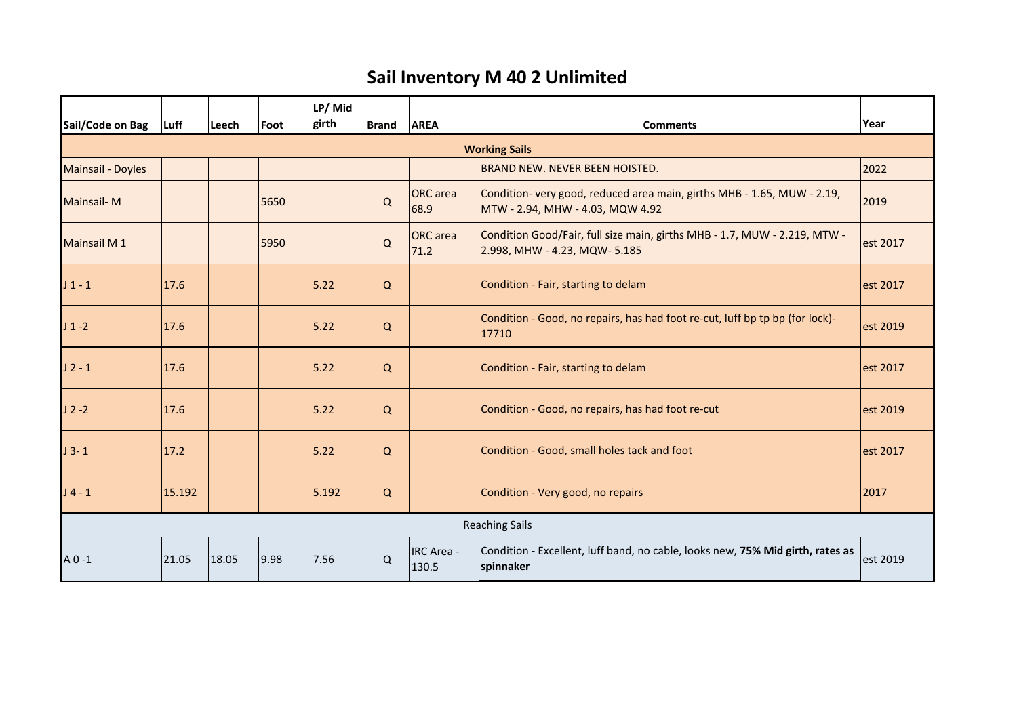## **Sail Inventory M 40 2 Unlimited**

| Sail/Code on Bag         | Luff   | Leech | <b>Foot</b> | LP/Mid<br>girth | <b>Brand</b> | <b>AREA</b>                | <b>Comments</b>                                                                                             | Year     |  |  |  |
|--------------------------|--------|-------|-------------|-----------------|--------------|----------------------------|-------------------------------------------------------------------------------------------------------------|----------|--|--|--|
| <b>Working Sails</b>     |        |       |             |                 |              |                            |                                                                                                             |          |  |  |  |
| <b>Mainsail - Doyles</b> |        |       |             |                 |              |                            | <b>BRAND NEW. NEVER BEEN HOISTED.</b>                                                                       | 2022     |  |  |  |
| <b>Mainsail-M</b>        |        |       | 5650        |                 | Q            | <b>ORC</b> area<br>68.9    | Condition- very good, reduced area main, girths MHB - 1.65, MUW - 2.19,<br>MTW - 2.94, MHW - 4.03, MQW 4.92 | 2019     |  |  |  |
| <b>Mainsail M1</b>       |        |       | 5950        |                 | $\mathsf Q$  | <b>ORC</b> area<br>71.2    | Condition Good/Fair, full size main, girths MHB - 1.7, MUW - 2.219, MTW -<br>2.998, MHW - 4.23, MQW- 5.185  | est 2017 |  |  |  |
| $J_1 - 1$                | 17.6   |       |             | 5.22            | Q            |                            | Condition - Fair, starting to delam                                                                         | est 2017 |  |  |  |
| $J_1 - 2$                | 17.6   |       |             | 5.22            | Q            |                            | Condition - Good, no repairs, has had foot re-cut, luff bp tp bp (for lock)-<br>17710                       | est 2019 |  |  |  |
| $J2 - 1$                 | 17.6   |       |             | 5.22            | Q            |                            | Condition - Fair, starting to delam                                                                         | est 2017 |  |  |  |
| $J2 - 2$                 | 17.6   |       |             | 5.22            | Q            |                            | Condition - Good, no repairs, has had foot re-cut                                                           | est 2019 |  |  |  |
| $J$ 3-1                  | 17.2   |       |             | 5.22            | Q            |                            | Condition - Good, small holes tack and foot                                                                 | est 2017 |  |  |  |
| $J4 - 1$                 | 15.192 |       |             | 5.192           | Q            |                            | Condition - Very good, no repairs                                                                           | 2017     |  |  |  |
| <b>Reaching Sails</b>    |        |       |             |                 |              |                            |                                                                                                             |          |  |  |  |
| $A$ 0 -1                 | 21.05  | 18.05 | 9.98        | 7.56            | Q            | <b>IRC Area -</b><br>130.5 | Condition - Excellent, luff band, no cable, looks new, 75% Mid girth, rates as<br>spinnaker                 | est 2019 |  |  |  |